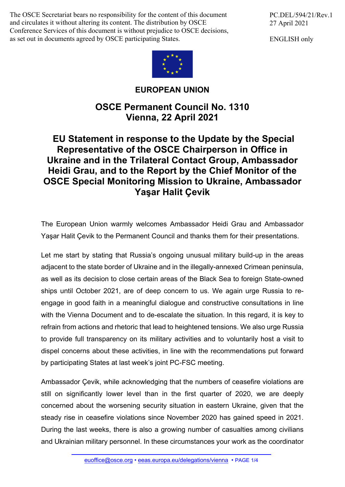The OSCE Secretariat bears no responsibility for the content of this document and circulates it without altering its content. The distribution by OSCE Conference Services of this document is without prejudice to OSCE decisions, as set out in documents agreed by OSCE participating States.

PC.DEL/594/21/Rev.1 27 April 2021

ENGLISH only



## **EUROPEAN UNION**

## **OSCE Permanent Council No. 1310 Vienna, 22 April 2021**

## **EU Statement in response to the Update by the Special Representative of the OSCE Chairperson in Office in Ukraine and in the Trilateral Contact Group, Ambassador Heidi Grau, and to the Report by the Chief Monitor of the OSCE Special Monitoring Mission to Ukraine, Ambassador Yaşar Halit Çevik**

The European Union warmly welcomes Ambassador Heidi Grau and Ambassador Yaşar Halit Çevik to the Permanent Council and thanks them for their presentations.

Let me start by stating that Russia's ongoing unusual military build-up in the areas adjacent to the state border of Ukraine and in the illegally-annexed Crimean peninsula, as well as its decision to close certain areas of the Black Sea to foreign State-owned ships until October 2021, are of deep concern to us. We again urge Russia to reengage in good faith in a meaningful dialogue and constructive consultations in line with the Vienna Document and to de-escalate the situation. In this regard, it is key to refrain from actions and rhetoric that lead to heightened tensions. We also urge Russia to provide full transparency on its military activities and to voluntarily host a visit to dispel concerns about these activities, in line with the recommendations put forward by participating States at last week's joint PC-FSC meeting.

Ambassador Çevik, while acknowledging that the numbers of ceasefire violations are still on significantly lower level than in the first quarter of 2020, we are deeply concerned about the worsening security situation in eastern Ukraine, given that the steady rise in ceasefire violations since November 2020 has gained speed in 2021. During the last weeks, there is also a growing number of casualties among civilians and Ukrainian military personnel. In these circumstances your work as the coordinator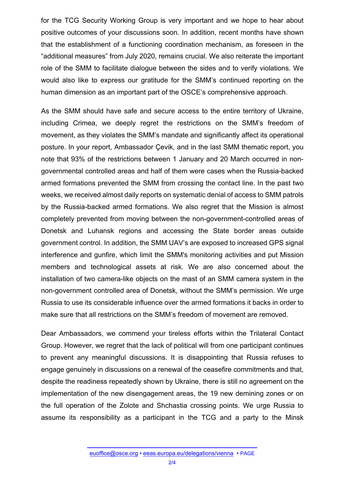for the TCG Security Working Group is very important and we hope to hear about positive outcomes of your discussions soon. In addition, recent months have shown that the establishment of a functioning coordination mechanism, as foreseen in the "additional measures" from July 2020, remains crucial. We also reiterate the important role of the SMM to facilitate dialogue between the sides and to verify violations. We would also like to express our gratitude for the SMM's continued reporting on the human dimension as an important part of the OSCE's comprehensive approach.

As the SMM should have safe and secure access to the entire territory of Ukraine, including Crimea, we deeply regret the restrictions on the SMM's freedom of movement, as they violates the SMM's mandate and significantly affect its operational posture. In your report, Ambassador Çevik, and in the last SMM thematic report, you note that 93% of the restrictions between 1 January and 20 March occurred in nongovernmental controlled areas and half of them were cases when the Russia-backed armed formations prevented the SMM from crossing the contact line. In the past two weeks, we received almost daily reports on systematic denial of access to SMM patrols by the Russia-backed armed formations. We also regret that the Mission is almost completely prevented from moving between the non-government-controlled areas of Donetsk and Luhansk regions and accessing the State border areas outside government control. In addition, the SMM UAV's are exposed to increased GPS signal interference and gunfire, which limit the SMM's monitoring activities and put Mission members and technological assets at risk. We are also concerned about the installation of two camera-like objects on the mast of an SMM camera system in the non-government controlled area of Donetsk, without the SMM's permission. We urge Russia to use its considerable influence over the armed formations it backs in order to make sure that all restrictions on the SMM's freedom of movement are removed.

Dear Ambassadors, we commend your tireless efforts within the Trilateral Contact Group. However, we regret that the lack of political will from one participant continues to prevent any meaningful discussions. It is disappointing that Russia refuses to engage genuinely in discussions on a renewal of the ceasefire commitments and that, despite the readiness repeatedly shown by Ukraine, there is still no agreement on the implementation of the new disengagement areas, the 19 new demining zones or on the full operation of the Zolote and Shchastia crossing points. We urge Russia to assume its responsibility as a participant in the TCG and a party to the Minsk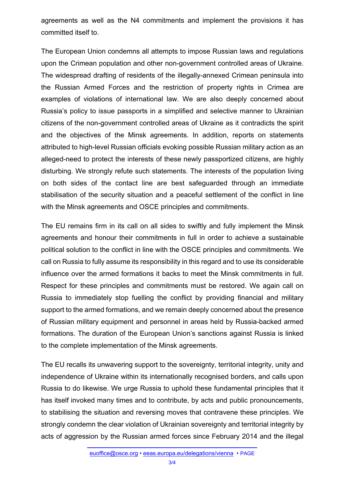agreements as well as the N4 commitments and implement the provisions it has committed itself to.

The European Union condemns all attempts to impose Russian laws and regulations upon the Crimean population and other non-government controlled areas of Ukraine. The widespread drafting of residents of the illegally-annexed Crimean peninsula into the Russian Armed Forces and the restriction of property rights in Crimea are examples of violations of international law. We are also deeply concerned about Russia's policy to issue passports in a simplified and selective manner to Ukrainian citizens of the non-government controlled areas of Ukraine as it contradicts the spirit and the objectives of the Minsk agreements. In addition, reports on statements attributed to high-level Russian officials evoking possible Russian military action as an alleged-need to protect the interests of these newly passportized citizens, are highly disturbing. We strongly refute such statements. The interests of the population living on both sides of the contact line are best safeguarded through an immediate stabilisation of the security situation and a peaceful settlement of the conflict in line with the Minsk agreements and OSCE principles and commitments.

The EU remains firm in its call on all sides to swiftly and fully implement the Minsk agreements and honour their commitments in full in order to achieve a sustainable political solution to the conflict in line with the OSCE principles and commitments. We call on Russia to fully assume its responsibility in this regard and to use its considerable influence over the armed formations it backs to meet the Minsk commitments in full. Respect for these principles and commitments must be restored. We again call on Russia to immediately stop fuelling the conflict by providing financial and military support to the armed formations, and we remain deeply concerned about the presence of Russian military equipment and personnel in areas held by Russia-backed armed formations. The duration of the European Union's sanctions against Russia is linked to the complete implementation of the Minsk agreements.

The EU recalls its unwavering support to the sovereignty, territorial integrity, unity and independence of Ukraine within its internationally recognised borders, and calls upon Russia to do likewise. We urge Russia to uphold these fundamental principles that it has itself invoked many times and to contribute, by acts and public pronouncements, to stabilising the situation and reversing moves that contravene these principles. We strongly condemn the clear violation of Ukrainian sovereignty and territorial integrity by acts of aggression by the Russian armed forces since February 2014 and the illegal